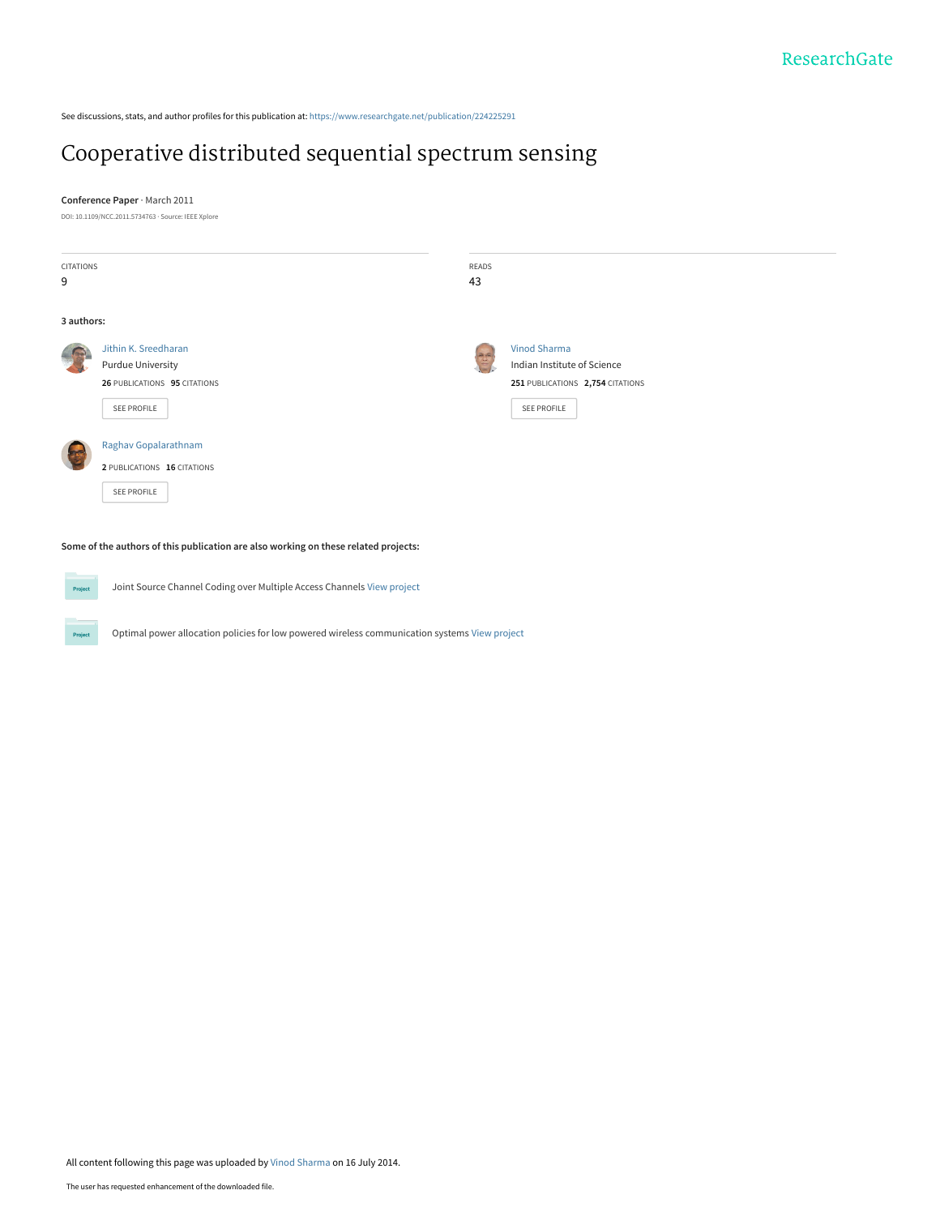See discussions, stats, and author profiles for this publication at: [https://www.researchgate.net/publication/224225291](https://www.researchgate.net/publication/224225291_Cooperative_distributed_sequential_spectrum_sensing?enrichId=rgreq-fc2c278f4c19938aab48ea08811507bd-XXX&enrichSource=Y292ZXJQYWdlOzIyNDIyNTI5MTtBUzoxMTk1NTA3MjA4NzY1NDRAMTQwNTUxNDUyMTEzNA%3D%3D&el=1_x_2&_esc=publicationCoverPdf)

# [Cooperative distributed sequential spectrum sensing](https://www.researchgate.net/publication/224225291_Cooperative_distributed_sequential_spectrum_sensing?enrichId=rgreq-fc2c278f4c19938aab48ea08811507bd-XXX&enrichSource=Y292ZXJQYWdlOzIyNDIyNTI5MTtBUzoxMTk1NTA3MjA4NzY1NDRAMTQwNTUxNDUyMTEzNA%3D%3D&el=1_x_3&_esc=publicationCoverPdf)

**Conference Paper** · March 2011

DOI: 10.1109/NCC.2011.5734763 · Source: IEEE Xplore



**Some of the authors of this publication are also working on these related projects:**

Projec

Project

Joint Source Channel Coding over Multiple Access Channels [View project](https://www.researchgate.net/project/Joint-Source-Channel-Coding-over-Multiple-Access-Channels?enrichId=rgreq-fc2c278f4c19938aab48ea08811507bd-XXX&enrichSource=Y292ZXJQYWdlOzIyNDIyNTI5MTtBUzoxMTk1NTA3MjA4NzY1NDRAMTQwNTUxNDUyMTEzNA%3D%3D&el=1_x_9&_esc=publicationCoverPdf)

Optimal power allocation policies for low powered wireless communication systems [View project](https://www.researchgate.net/project/Optimal-power-allocation-policies-for-low-powered-wireless-communication-systems?enrichId=rgreq-fc2c278f4c19938aab48ea08811507bd-XXX&enrichSource=Y292ZXJQYWdlOzIyNDIyNTI5MTtBUzoxMTk1NTA3MjA4NzY1NDRAMTQwNTUxNDUyMTEzNA%3D%3D&el=1_x_9&_esc=publicationCoverPdf)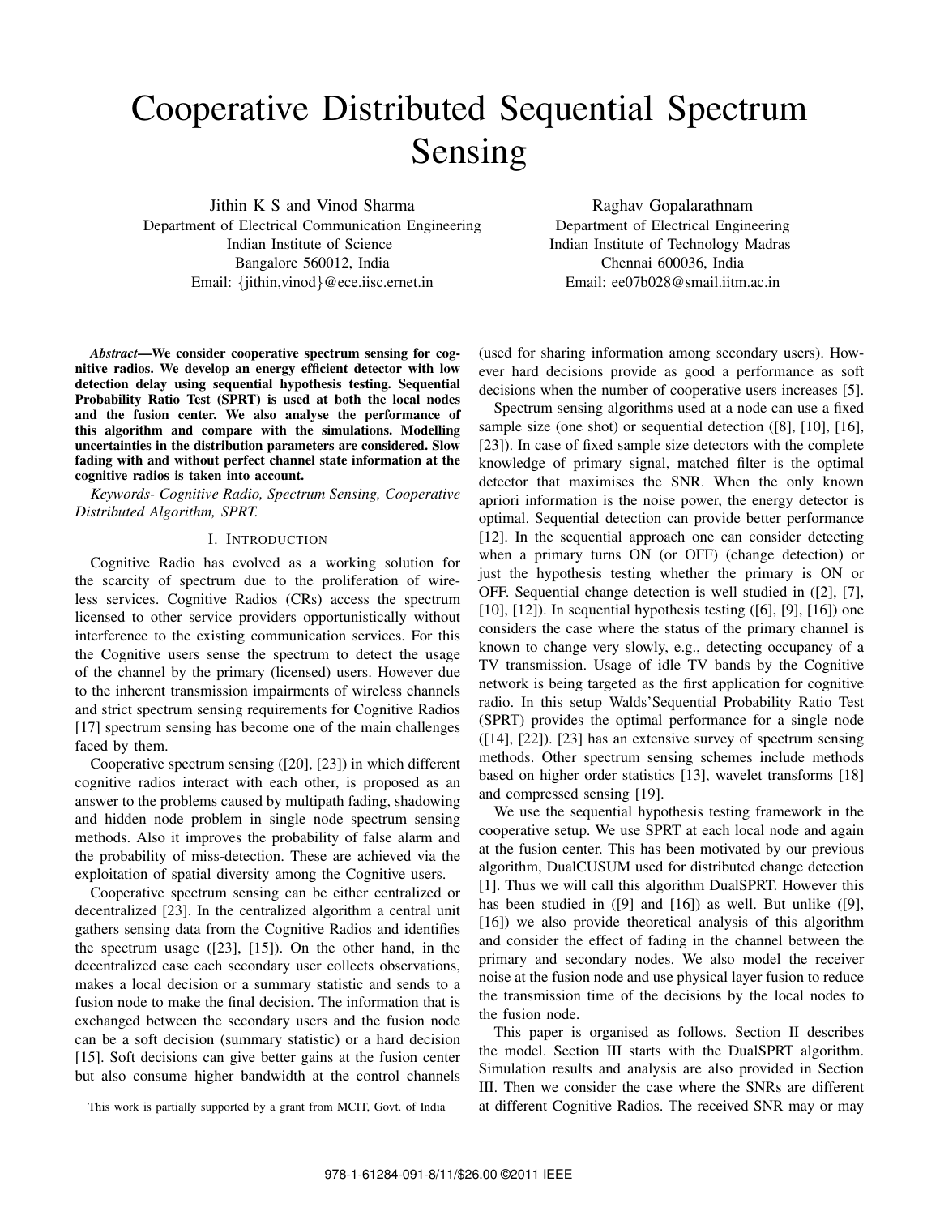# Cooperative Distributed Sequential Spectrum Sensing

Jithin K S and Vinod Sharma Department of Electrical Communication Engineering Indian Institute of Science Bangalore 560012, India Email: {jithin,vinod}@ece.iisc.ernet.in

Raghav Gopalarathnam Department of Electrical Engineering Indian Institute of Technology Madras Chennai 600036, India Email: ee07b028@smail.iitm.ac.in

*Abstract*—We consider cooperative spectrum sensing for cognitive radios. We develop an energy efficient detector with low detection delay using sequential hypothesis testing. Sequential Probability Ratio Test (SPRT) is used at both the local nodes and the fusion center. We also analyse the performance of this algorithm and compare with the simulations. Modelling uncertainties in the distribution parameters are considered. Slow fading with and without perfect channel state information at the cognitive radios is taken into account.

*Keywords- Cognitive Radio, Spectrum Sensing, Cooperative Distributed Algorithm, SPRT.*

# I. INTRODUCTION

Cognitive Radio has evolved as a working solution for the scarcity of spectrum due to the proliferation of wireless services. Cognitive Radios (CRs) access the spectrum licensed to other service providers opportunistically without interference to the existing communication services. For this the Cognitive users sense the spectrum to detect the usage of the channel by the primary (licensed) users. However due to the inherent transmission impairments of wireless channels and strict spectrum sensing requirements for Cognitive Radios [17] spectrum sensing has become one of the main challenges faced by them.

Cooperative spectrum sensing ([20], [23]) in which different cognitive radios interact with each other, is proposed as an answer to the problems caused by multipath fading, shadowing and hidden node problem in single node spectrum sensing methods. Also it improves the probability of false alarm and the probability of miss-detection. These are achieved via the exploitation of spatial diversity among the Cognitive users.

Cooperative spectrum sensing can be either centralized or decentralized [23]. In the centralized algorithm a central unit gathers sensing data from the Cognitive Radios and identifies the spectrum usage ([23], [15]). On the other hand, in the decentralized case each secondary user collects observations, makes a local decision or a summary statistic and sends to a fusion node to make the final decision. The information that is exchanged between the secondary users and the fusion node can be a soft decision (summary statistic) or a hard decision [15]. Soft decisions can give better gains at the fusion center but also consume higher bandwidth at the control channels

This work is partially supported by a grant from MCIT, Govt. of India

(used for sharing information among secondary users). However hard decisions provide as good a performance as soft decisions when the number of cooperative users increases [5].

Spectrum sensing algorithms used at a node can use a fixed sample size (one shot) or sequential detection ([8], [10], [16], [23]). In case of fixed sample size detectors with the complete knowledge of primary signal, matched filter is the optimal detector that maximises the SNR. When the only known apriori information is the noise power, the energy detector is optimal. Sequential detection can provide better performance [12]. In the sequential approach one can consider detecting when a primary turns ON (or OFF) (change detection) or just the hypothesis testing whether the primary is ON or OFF. Sequential change detection is well studied in ([2], [7],  $[10]$ ,  $[12]$ ). In sequential hypothesis testing  $([6]$ ,  $[9]$ ,  $[16]$ ) one considers the case where the status of the primary channel is known to change very slowly, e.g., detecting occupancy of a TV transmission. Usage of idle TV bands by the Cognitive network is being targeted as the first application for cognitive radio. In this setup Walds'Sequential Probability Ratio Test (SPRT) provides the optimal performance for a single node ([14], [22]). [23] has an extensive survey of spectrum sensing methods. Other spectrum sensing schemes include methods based on higher order statistics [13], wavelet transforms [18] and compressed sensing [19].

We use the sequential hypothesis testing framework in the cooperative setup. We use SPRT at each local node and again at the fusion center. This has been motivated by our previous algorithm, DualCUSUM used for distributed change detection [1]. Thus we will call this algorithm DualSPRT. However this has been studied in ([9] and [16]) as well. But unlike ([9], [16]) we also provide theoretical analysis of this algorithm and consider the effect of fading in the channel between the primary and secondary nodes. We also model the receiver noise at the fusion node and use physical layer fusion to reduce the transmission time of the decisions by the local nodes to the fusion node.

This paper is organised as follows. Section II describes the model. Section III starts with the DualSPRT algorithm. Simulation results and analysis are also provided in Section III. Then we consider the case where the SNRs are different at different Cognitive Radios. The received SNR may or may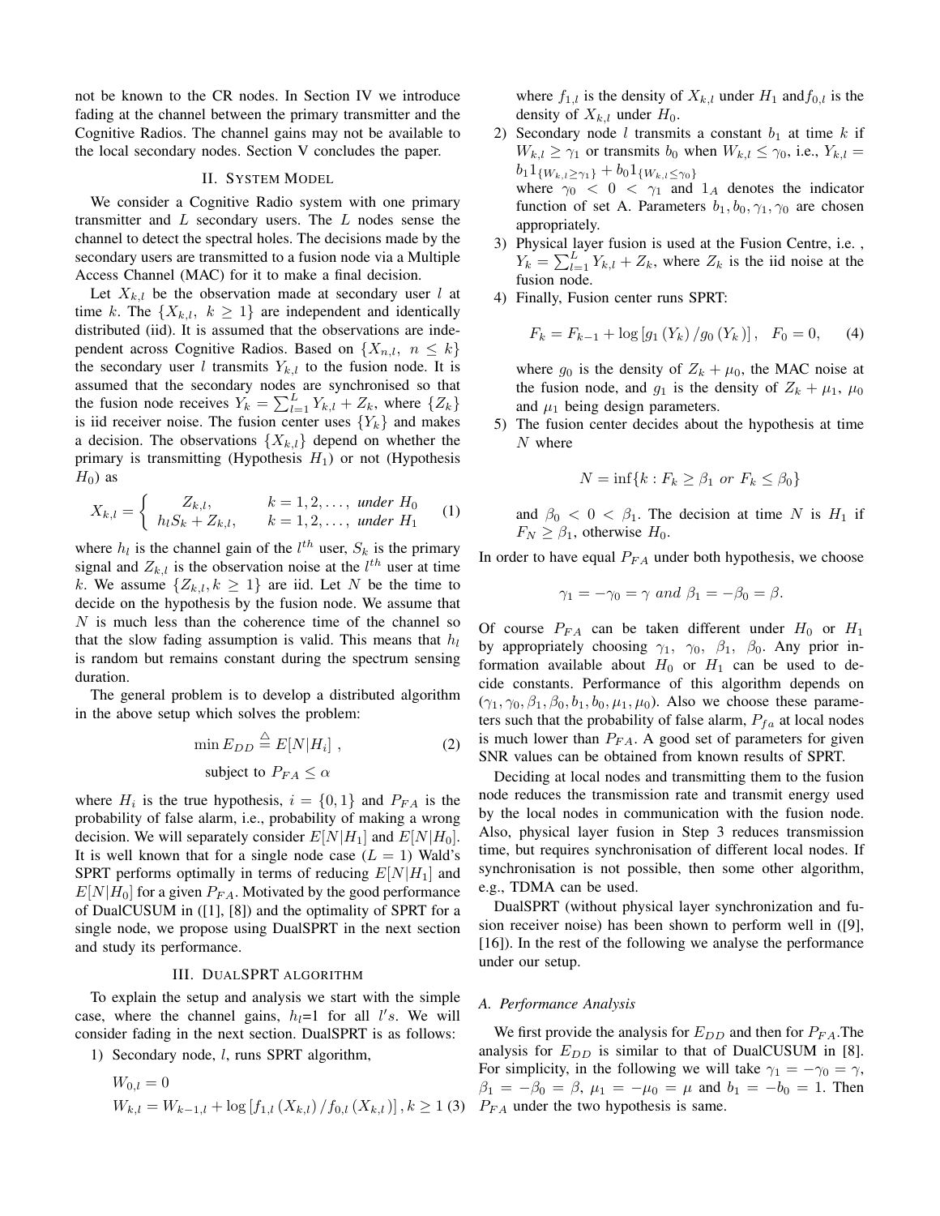not be known to the CR nodes. In Section IV we introduce fading at the channel between the primary transmitter and the Cognitive Radios. The channel gains may not be available to the local secondary nodes. Section V concludes the paper.

# II. SYSTEM MODEL

We consider a Cognitive Radio system with one primary transmitter and  $L$  secondary users. The  $L$  nodes sense the channel to detect the spectral holes. The decisions made by the secondary users are transmitted to a fusion node via a Multiple Access Channel (MAC) for it to make a final decision.

Let  $X_{k,l}$  be the observation made at secondary user l at time k. The  $\{X_{k,l}, k \geq 1\}$  are independent and identically distributed (iid). It is assumed that the observations are independent across Cognitive Radios. Based on  $\{X_{n,l}, n \leq k\}$ the secondary user l transmits  $Y_{k,l}$  to the fusion node. It is assumed that the secondary nodes are synchronised so that the fusion node receives  $Y_k = \sum_{l=1}^{L} Y_{k,l} + Z_k$ , where  $\{Z_k\}$ is iid receiver noise. The fusion center uses  ${Y_k}$  and makes a decision. The observations  $\{X_{k,l}\}\$  depend on whether the primary is transmitting (Hypothesis  $H_1$ ) or not (Hypothesis  $H_0$ ) as

$$
X_{k,l} = \begin{cases} Z_{k,l}, & k = 1, 2, ..., \text{ under } H_0 \\ h_l S_k + Z_{k,l}, & k = 1, 2, ..., \text{ under } H_1 \end{cases}
$$
 (1)

where  $h_l$  is the channel gain of the  $l^{th}$  user,  $S_k$  is the primary signal and  $Z_{k,l}$  is the observation noise at the  $l^{th}$  user at time k. We assume  $\{Z_{k,l}, k \geq 1\}$  are iid. Let N be the time to decide on the hypothesis by the fusion node. We assume that  $N$  is much less than the coherence time of the channel so that the slow fading assumption is valid. This means that  $h_l$ is random but remains constant during the spectrum sensing duration.

The general problem is to develop a distributed algorithm in the above setup which solves the problem:

$$
\min E_{DD} \stackrel{\triangle}{=} E[N|H_i],
$$
\nsubject to  $P_{FA} \leq \alpha$ 

where  $H_i$  is the true hypothesis,  $i = \{0, 1\}$  and  $P_{FA}$  is the probability of false alarm, i.e., probability of making a wrong decision. We will separately consider  $E[N|H_1]$  and  $E[N|H_0]$ . It is well known that for a single node case  $(L = 1)$  Wald's SPRT performs optimally in terms of reducing  $E[N|H_1]$  and  $E[N|H_0]$  for a given  $P_{FA}$ . Motivated by the good performance of DualCUSUM in ([1], [8]) and the optimality of SPRT for a single node, we propose using DualSPRT in the next section and study its performance.

#### III. DUALSPRT ALGORITHM

To explain the setup and analysis we start with the simple case, where the channel gains,  $h_l = 1$  for all l's. We will consider fading in the next section. DualSPRT is as follows:

1) Secondary node, l, runs SPRT algorithm,

$$
W_{0,l} = 0
$$
  
 
$$
W_{k,l} = W_{k-1,l} + \log[f_{1,l}(X_{k,l})/f_{0,l}(X_{k,l})], k \ge 1
$$
 (3)

where  $f_{1,l}$  is the density of  $X_{k,l}$  under  $H_1$  and  $f_{0,l}$  is the density of  $X_{k,l}$  under  $H_0$ .

- 2) Secondary node *l* transmits a constant  $b_1$  at time k if  $W_{k,l} \geq \gamma_1$  or transmits  $b_0$  when  $W_{k,l} \leq \gamma_0$ , i.e.,  $Y_{k,l} =$  $b_1 1_{\{W_{k,l}\geq\gamma_1\}} + b_0 1_{\{W_{k,l}\leq\gamma_0\}}$ where  $\gamma_0$  < 0 <  $\gamma_1$  and  $1_A$  denotes the indicator function of set A. Parameters  $b_1, b_0, \gamma_1, \gamma_0$  are chosen appropriately.
- 3) Physical layer fusion is used at the Fusion Centre, i.e. ,  $Y_k = \sum_{l=1}^{L} Y_{k,l} + Z_k$ , where  $Z_k$  is the iid noise at the fusion node.
- 4) Finally, Fusion center runs SPRT:

$$
F_k = F_{k-1} + \log [g_1(Y_k) / g_0(Y_k)], \quad F_0 = 0,\tag{4}
$$

where  $g_0$  is the density of  $Z_k + \mu_0$ , the MAC noise at the fusion node, and  $g_1$  is the density of  $Z_k + \mu_1$ ,  $\mu_0$ and  $\mu_1$  being design parameters.

5) The fusion center decides about the hypothesis at time  $N$  where

$$
N = \inf\{k : F_k \ge \beta_1 \text{ or } F_k \le \beta_0\}
$$

and  $\beta_0 < 0 < \beta_1$ . The decision at time N is  $H_1$  if  $F_N \geq \beta_1$ , otherwise  $H_0$ .

In order to have equal  $P_{FA}$  under both hypothesis, we choose

$$
\gamma_1 = -\gamma_0 = \gamma \text{ and } \beta_1 = -\beta_0 = \beta.
$$

Of course  $P_{FA}$  can be taken different under  $H_0$  or  $H_1$ by appropriately choosing  $\gamma_1$ ,  $\gamma_0$ ,  $\beta_1$ ,  $\beta_0$ . Any prior information available about  $H_0$  or  $H_1$  can be used to decide constants. Performance of this algorithm depends on  $(\gamma_1, \gamma_0, \beta_1, \beta_0, b_1, b_0, \mu_1, \mu_0)$ . Also we choose these parameters such that the probability of false alarm,  $P_{fa}$  at local nodes is much lower than  $P_{FA}$ . A good set of parameters for given SNR values can be obtained from known results of SPRT.

Deciding at local nodes and transmitting them to the fusion node reduces the transmission rate and transmit energy used by the local nodes in communication with the fusion node. Also, physical layer fusion in Step 3 reduces transmission time, but requires synchronisation of different local nodes. If synchronisation is not possible, then some other algorithm, e.g., TDMA can be used.

DualSPRT (without physical layer synchronization and fusion receiver noise) has been shown to perform well in ([9], [16]). In the rest of the following we analyse the performance under our setup.

# *A. Performance Analysis*

We first provide the analysis for  $E_{DD}$  and then for  $P_{FA}$ . The analysis for  $E_{DD}$  is similar to that of DualCUSUM in [8]. For simplicity, in the following we will take  $\gamma_1 = -\gamma_0 = \gamma$ ,  $\beta_1 = -\beta_0 = \beta$ ,  $\mu_1 = -\mu_0 = \mu$  and  $b_1 = -b_0 = 1$ . Then  $P_{FA}$  under the two hypothesis is same.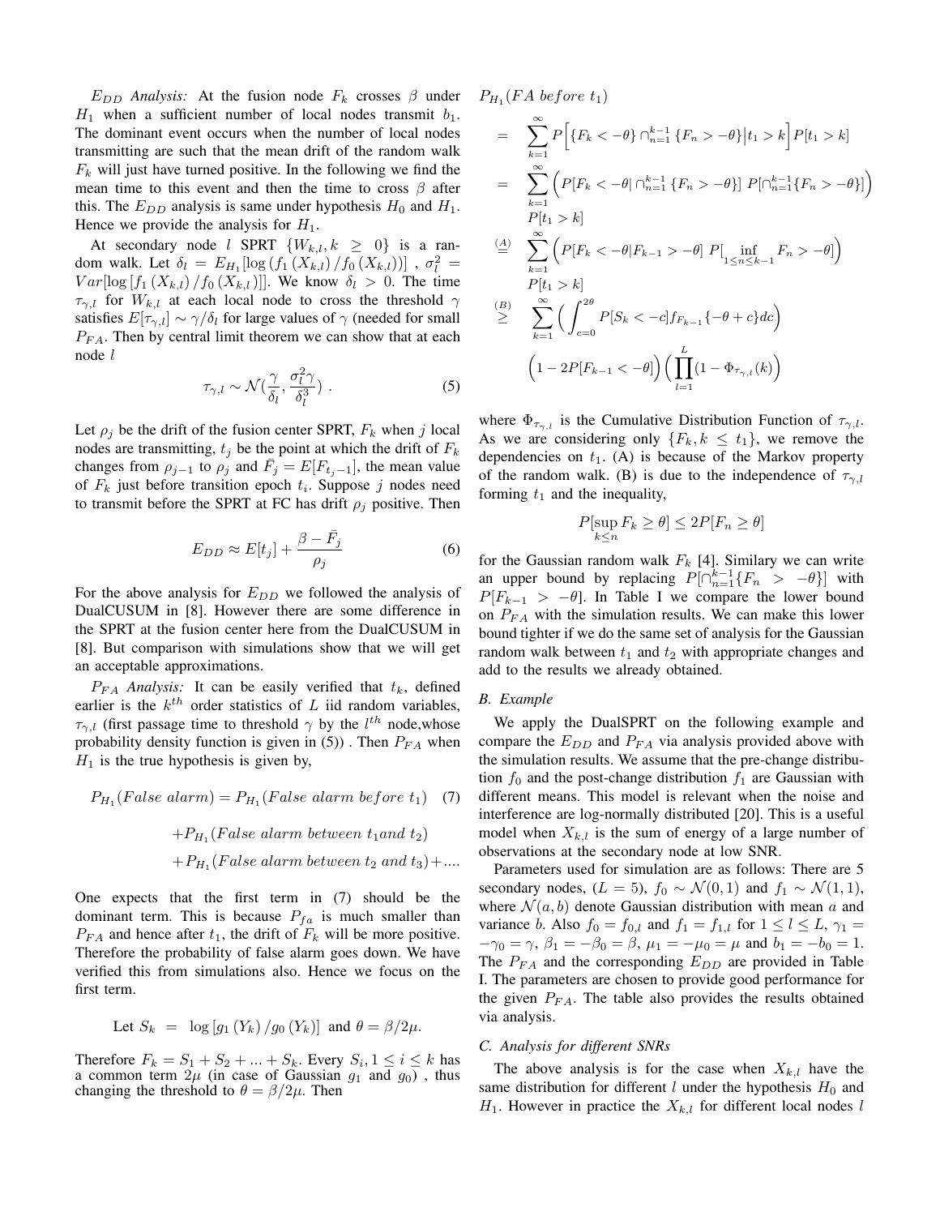$E_{DD}$  *Analysis:* At the fusion node  $F_k$  crosses  $\beta$  under  $H_1$  when a sufficient number of local nodes transmit  $b_1$ . The dominant event occurs when the number of local nodes transmitting are such that the mean drift of the random walk  $F_k$  will just have turned positive. In the following we find the mean time to this event and then the time to cross  $\beta$  after this. The  $E_{DD}$  analysis is same under hypothesis  $H_0$  and  $H_1$ . Hence we provide the analysis for  $H_1$ .

At secondary node *l* SPRT  $\{W_{k,l}, k \geq 0\}$  is a random walk. Let  $\delta_l = E_{H_1}[\log(f_1(X_{k,l})/f_0(X_{k,l}))]$ ,  $\sigma_l^2 =$  $Var[log[f_1(X_{k,l})/f_0(X_{k,l})]]$ . We know  $\delta_l > 0$ . The time  $\tau_{\gamma,l}$  for  $W_{k,l}$  at each local node to cross the threshold  $\gamma$ satisfies  $E[\tau_{\gamma,l}] \sim \gamma/\delta_l$  for large values of  $\gamma$  (needed for small  $P_{FA}$ . Then by central limit theorem we can show that at each node l

$$
\tau_{\gamma,l} \sim \mathcal{N}\left(\frac{\gamma}{\delta_l}, \frac{\sigma_l^2 \gamma}{\delta_l^3}\right). \tag{5}
$$

Let  $\rho_j$  be the drift of the fusion center SPRT,  $F_k$  when j local nodes are transmitting,  $t_j$  be the point at which the drift of  $F_k$ changes from  $\rho_{j-1}$  to  $\rho_j$  and  $\overline{F}_j = E[F_{t_j-1}]$ , the mean value of  $F_k$  just before transition epoch  $t_i$ . Suppose j nodes need to transmit before the SPRT at FC has drift  $\rho_i$  positive. Then

$$
E_{DD} \approx E[t_j] + \frac{\beta - \bar{F}_j}{\rho_j} \tag{6}
$$

For the above analysis for  $E_{DD}$  we followed the analysis of DualCUSUM in [8]. However there are some difference in the SPRT at the fusion center here from the DualCUSUM in [8]. But comparison with simulations show that we will get an acceptable approximations.

 $P_{FA}$  *Analysis:* It can be easily verified that  $t_k$ , defined earlier is the  $k^{th}$  order statistics of L iid random variables,  $\tau_{\gamma,l}$  (first passage time to threshold  $\gamma$  by the  $l^{th}$  node, whose probability density function is given in (5)). Then  $P_{FA}$  when  $H_1$  is the true hypothesis is given by,

$$
P_{H_1}(False \text{ alarm}) = P_{H_1}(False \text{ alarm before } t_1) \quad (7)
$$

$$
+ P_{H_1}(False \text{ alarm between } t_1 \text{and } t_2)
$$

$$
+P_{H_1}(False \, alarm \, between \, t_2 \, and \, t_3)+....
$$

One expects that the first term in (7) should be the dominant term. This is because  $P_{fa}$  is much smaller than  $P_{FA}$  and hence after  $t_1$ , the drift of  $F_k$  will be more positive. Therefore the probability of false alarm goes down. We have verified this from simulations also. Hence we focus on the first term.

Let 
$$
S_k = \log [g_1(Y_k)/g_0(Y_k)]
$$
 and  $\theta = \beta/2\mu$ .

Therefore  $F_k = S_1 + S_2 + \dots + S_k$ . Every  $S_i, 1 \leq i \leq k$  has a common term  $2\mu$  (in case of Gaussian  $g_1$  and  $g_0$ ), thus changing the threshold to  $\theta = \frac{\beta}{2\mu}$ . Then

 $P_{H_1}(FA\ before\ t_1)$ 

$$
= \sum_{k=1}^{\infty} P\Big[ \{F_k < -\theta\} \cap_{n=1}^{k-1} \{F_n > -\theta\} | t_1 > k \Big] P[t_1 > k]
$$
  
\n
$$
= \sum_{k=1}^{\infty} \Big( P[F_k < -\theta | \cap_{n=1}^{k-1} \{F_n > -\theta\}] P[\cap_{n=1}^{k-1} \{F_n > -\theta\}] \Big)
$$
  
\n
$$
P[t_1 > k]
$$
  
\n
$$
\stackrel{(A)}{=} \sum_{k=1}^{\infty} \Big( P[F_k < -\theta | F_{k-1} > -\theta] P[\inf_{1 \le n \le k-1} F_n > -\theta] \Big)
$$
  
\n
$$
P[t_1 > k]
$$
  
\n
$$
\ge \sum_{k=1}^{\infty} \Big( \int_{c=0}^{2\theta} P[S_k < -c] f_{F_{k-1}} \{-\theta + c\} dc \Big)
$$
  
\n
$$
\Big( 1 - 2P[F_{k-1} < -\theta] \Big) \Big( \prod_{l=1}^{L} (1 - \Phi_{\tau_{\gamma,l}}(k)) \Big)
$$

where  $\Phi_{\tau_{\gamma,l}}$  is the Cumulative Distribution Function of  $\tau_{\gamma,l}$ . As we are considering only  $\{F_k, k \leq t_1\}$ , we remove the dependencies on  $t_1$ . (A) is because of the Markov property of the random walk. (B) is due to the independence of  $\tau_{\gamma,l}$ forming  $t_1$  and the inequality,

$$
P[\sup_{k \le n} F_k \ge \theta] \le 2P[F_n \ge \theta]
$$

for the Gaussian random walk  $F_k$  [4]. Similary we can write an upper bound by replacing  $P[\bigcap_{n=1}^{k-1} \{F_n > -\theta\}]$  with  $P[F_{k-1} > -\theta]$ . In Table I we compare the lower bound on  $P_{FA}$  with the simulation results. We can make this lower bound tighter if we do the same set of analysis for the Gaussian random walk between  $t_1$  and  $t_2$  with appropriate changes and add to the results we already obtained.

# *B. Example*

We apply the DualSPRT on the following example and compare the  $E_{DD}$  and  $P_{FA}$  via analysis provided above with the simulation results. We assume that the pre-change distribution  $f_0$  and the post-change distribution  $f_1$  are Gaussian with different means. This model is relevant when the noise and interference are log-normally distributed [20]. This is a useful model when  $X_{k,l}$  is the sum of energy of a large number of observations at the secondary node at low SNR.

Parameters used for simulation are as follows: There are 5 secondary nodes, ( $L = 5$ ),  $f_0 \sim \mathcal{N}(0, 1)$  and  $f_1 \sim \mathcal{N}(1, 1)$ , where  $\mathcal{N}(a, b)$  denote Gaussian distribution with mean a and variance b. Also  $f_0 = f_{0,l}$  and  $f_1 = f_{1,l}$  for  $1 \le l \le L$ ,  $\gamma_1 =$  $-\gamma_0 = \gamma$ ,  $\beta_1 = -\beta_0 = \beta$ ,  $\mu_1 = -\mu_0 = \mu$  and  $b_1 = -b_0 = 1$ . The  $P_{FA}$  and the corresponding  $E_{DD}$  are provided in Table I. The parameters are chosen to provide good performance for the given  $P_{FA}$ . The table also provides the results obtained via analysis.

# *C. Analysis for different SNRs*

The above analysis is for the case when  $X_{k,l}$  have the same distribution for different  $l$  under the hypothesis  $H_0$  and  $H_1$ . However in practice the  $X_{k,l}$  for different local nodes l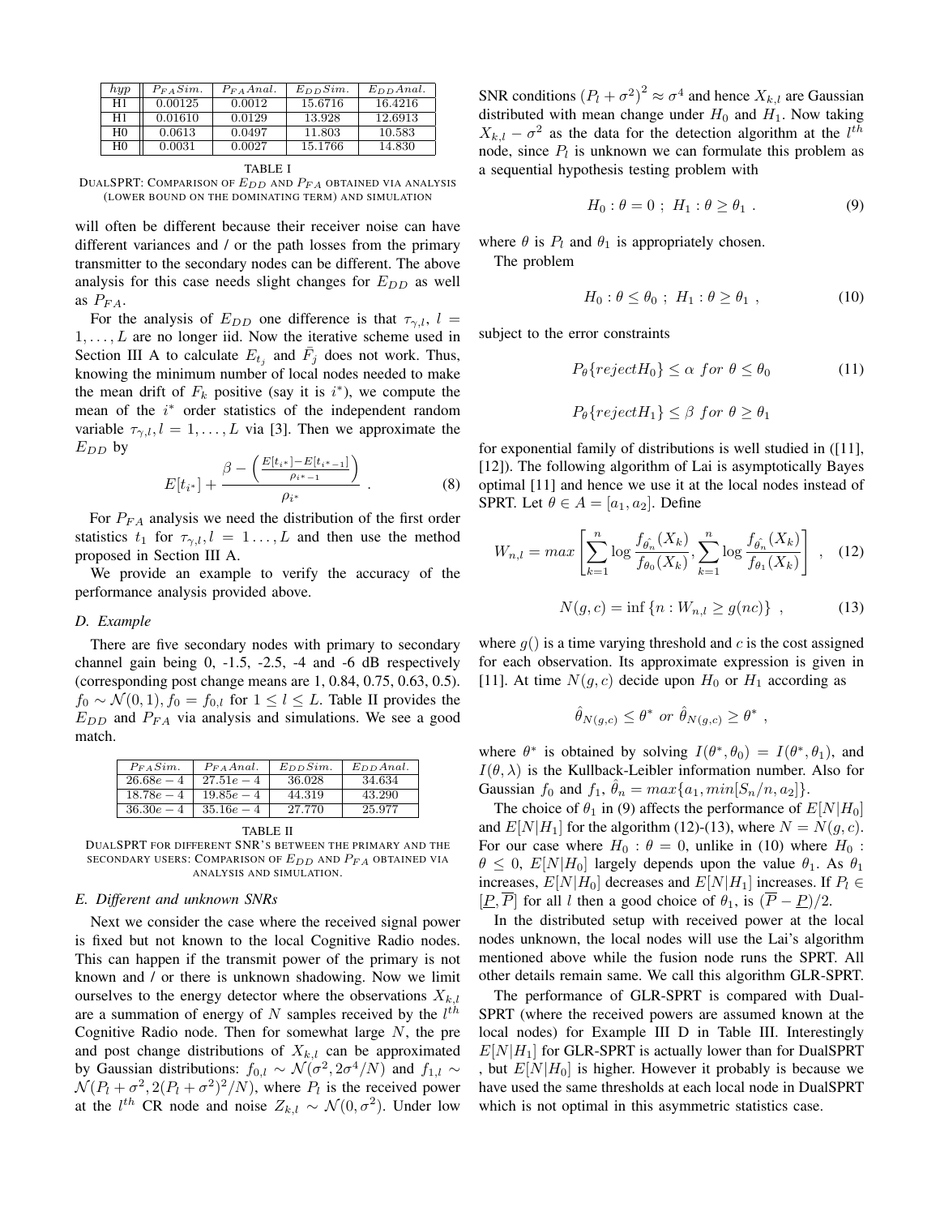| hyp | $P_{FA}Sim.$ | $P_{FA}$ Anal. | $E_{DD}Sim.$ | $E_{DD} Anal.$ |
|-----|--------------|----------------|--------------|----------------|
| H1  | 0.00125      | 0.0012         | 15.6716      | 16.4216        |
| H1  | 0.01610      | 0.0129         | 13.928       | 12.6913        |
| H0  | 0.0613       | 0.0497         | 11.803       | 10.583         |
| H0  | 0.0031       | 0.0027         | 15.1766      | 14.830         |

DUALSPRT: COMPARISON OF  $E_{DD}$  and  $P_{FA}$  obtained via analysis (LOWER BOUND ON THE DOMINATING TERM) AND SIMULATION

will often be different because their receiver noise can have different variances and / or the path losses from the primary transmitter to the secondary nodes can be different. The above analysis for this case needs slight changes for  $E_{DD}$  as well as  $P_{FA}$ .

For the analysis of  $E_{DD}$  one difference is that  $\tau_{\gamma,l}$ ,  $l =$  $1, \ldots, L$  are no longer iid. Now the iterative scheme used in Section III A to calculate  $E_{t_j}$  and  $\bar{F}_j$  does not work. Thus, knowing the minimum number of local nodes needed to make the mean drift of  $F_k$  positive (say it is  $i^*$ ), we compute the mean of the  $i^*$  order statistics of the independent random variable  $\tau_{\gamma,l}$ ,  $l = 1, \ldots, L$  via [3]. Then we approximate the  $E_{DD}$  by

$$
E[t_{i^*}] + \frac{\beta - \left(\frac{E[t_{i^*}] - E[t_{i^*} - 1]}{\rho_{i^*} - 1}\right)}{\rho_{i^*}} \tag{8}
$$

For  $P_{FA}$  analysis we need the distribution of the first order statistics  $t_1$  for  $\tau_{\gamma,l}$ ,  $l = 1 \dots, L$  and then use the method proposed in Section III A.

We provide an example to verify the accuracy of the performance analysis provided above.

# *D. Example*

There are five secondary nodes with primary to secondary channel gain being 0, -1.5, -2.5, -4 and -6 dB respectively (corresponding post change means are 1, 0.84, 0.75, 0.63, 0.5).  $f_0 \sim \mathcal{N}(0, 1), f_0 = f_{0,l}$  for  $1 \leq l \leq L$ . Table II provides the  $E_{DD}$  and  $P_{FA}$  via analysis and simulations. We see a good match.

| $P_{FA} Sim.$ | $P_{FA}$ Anal. | $E_{DD}Sim.$ | $E_{DD} Anal.$ |
|---------------|----------------|--------------|----------------|
| $26.68e -$    | $27.51e-4$     | 36.028       | 34.634         |
| $18.78e - 4$  | $19.85e - 4$   | 44.319       | 43.290         |
| 36.30e        | 35.16 <i>e</i> | 27.770       | 25.977         |

TABLE II

DUALSPRT FOR DIFFERENT SNR'S BETWEEN THE PRIMARY AND THE SECONDARY USERS: COMPARISON OF  $E_{DD}$  and  $P_{FA}$  obtained via ANALYSIS AND SIMULATION.

# *E. Different and unknown SNRs*

Next we consider the case where the received signal power is fixed but not known to the local Cognitive Radio nodes. This can happen if the transmit power of the primary is not known and / or there is unknown shadowing. Now we limit ourselves to the energy detector where the observations  $X_{k,l}$ are a summation of energy of N samples received by the  $l^{th}$ Cognitive Radio node. Then for somewhat large  $N$ , the pre and post change distributions of  $X_{k,l}$  can be approximated by Gaussian distributions:  $f_{0,l} \sim \mathcal{N}(\sigma^2, 2\sigma^4/N)$  and  $f_{1,l} \sim$  $\mathcal{N}(P_l + \sigma^2, 2(P_l + \sigma^2)^2/N)$ , where  $P_l$  is the received power at the  $l^{th}$  CR node and noise  $Z_{k,l} \sim \mathcal{N}(0, \sigma^2)$ . Under low

SNR conditions  $(P_l + \sigma^2)^2 \approx \sigma^4$  and hence  $X_{k,l}$  are Gaussian distributed with mean change under  $H_0$  and  $H_1$ . Now taking  $X_{k,l} - \sigma^2$  as the data for the detection algorithm at the  $l^{th}$ node, since  $P_l$  is unknown we can formulate this problem as a sequential hypothesis testing problem with

$$
H_0: \theta = 0 \; ; \; H_1: \theta \ge \theta_1 \; . \tag{9}
$$

where  $\theta$  is  $P_l$  and  $\theta_1$  is appropriately chosen. The problem

$$
H_0: \theta \le \theta_0 \; ; \; H_1: \theta \ge \theta_1 \; , \tag{10}
$$

subject to the error constraints

$$
P_{\theta}\lbrace reject H_0 \rbrace \le \alpha \ for \ \theta \le \theta_0 \tag{11}
$$

$$
P_{\theta}\lbrace reject H_1 \rbrace \leq \beta \ for \ \theta \geq \theta_1
$$

for exponential family of distributions is well studied in ([11], [12]). The following algorithm of Lai is asymptotically Bayes optimal [11] and hence we use it at the local nodes instead of SPRT. Let  $\theta \in A = [a_1, a_2]$ . Define

$$
W_{n,l} = max\left[\sum_{k=1}^{n} \log \frac{f_{\hat{\theta_n}}(X_k)}{f_{\theta_0}(X_k)}, \sum_{k=1}^{n} \log \frac{f_{\hat{\theta_n}}(X_k)}{f_{\theta_1}(X_k)}\right], \quad (12)
$$

$$
N(g, c) = \inf \{ n : W_{n,l} \ge g(nc) \}, \qquad (13)
$$

where  $q()$  is a time varying threshold and c is the cost assigned for each observation. Its approximate expression is given in [11]. At time  $N(g, c)$  decide upon  $H_0$  or  $H_1$  according as

$$
\hat{\theta}_{N(g,c)} \leq \theta^* \text{ or } \hat{\theta}_{N(g,c)} \geq \theta^* ,
$$

where  $\theta^*$  is obtained by solving  $I(\theta^*, \theta_0) = I(\theta^*, \theta_1)$ , and  $I(\theta, \lambda)$  is the Kullback-Leibler information number. Also for Gaussian  $f_0$  and  $f_1$ ,  $\hat{\theta}_n = max\{a_1, min[S_n/n, a_2]\}.$ 

The choice of  $\theta_1$  in (9) affects the performance of  $E[N|H_0]$ and  $E[N|H_1]$  for the algorithm (12)-(13), where  $N = N(g, c)$ . For our case where  $H_0$ :  $\theta = 0$ , unlike in (10) where  $H_0$ :  $\theta \leq 0$ ,  $E[N|H_0]$  largely depends upon the value  $\theta_1$ . As  $\theta_1$ increases,  $E[N|H_0]$  decreases and  $E[N|H_1]$  increases. If  $P_l \in$  $[\underline{P}, \overline{P}]$  for all l then a good choice of  $\theta_1$ , is  $(\overline{P} - \underline{P})/2$ .

In the distributed setup with received power at the local nodes unknown, the local nodes will use the Lai's algorithm mentioned above while the fusion node runs the SPRT. All other details remain same. We call this algorithm GLR-SPRT.

The performance of GLR-SPRT is compared with Dual-SPRT (where the received powers are assumed known at the local nodes) for Example III D in Table III. Interestingly  $E[N|H_1]$  for GLR-SPRT is actually lower than for DualSPRT but  $E[N|H_0]$  is higher. However it probably is because we have used the same thresholds at each local node in DualSPRT which is not optimal in this asymmetric statistics case.